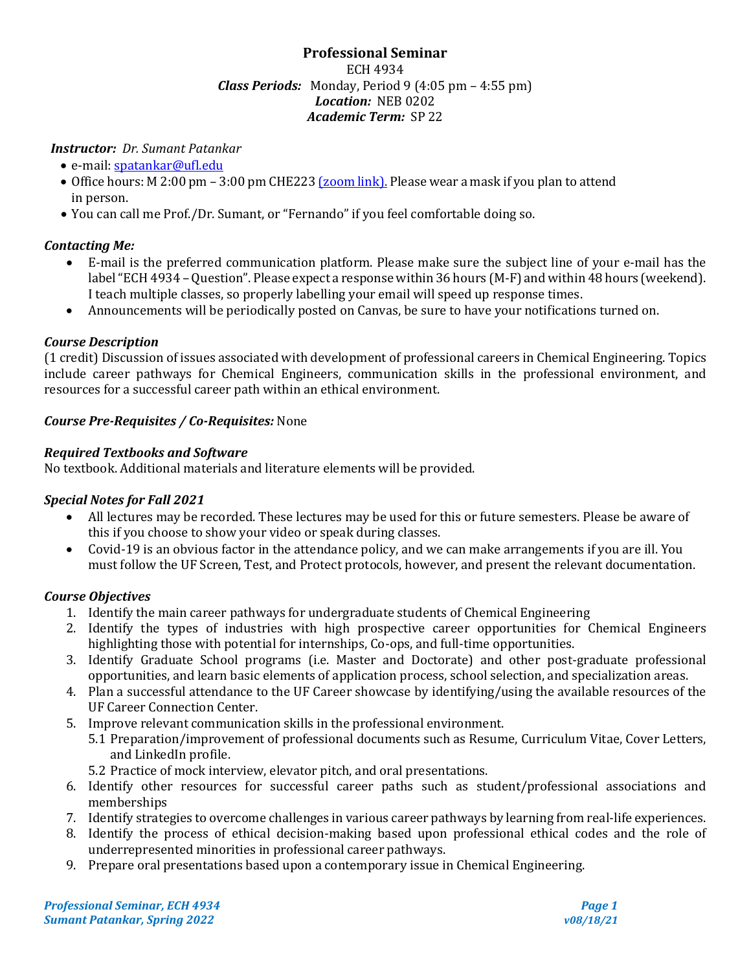## **Professional Seminar** ECH 4934 *Class Periods:* Monday, Period 9 (4:05 pm – 4:55 pm) *Location:* NEB 0202 *Academic Term:* SP 22

# *Instructor: Dr. Sumant Patankar*

- e-mail[: spatankar@ufl.edu](mailto:spatankar@ufl.edu)
- Office hours: M 2:00 pm 3:00 pm CHE223 (*zoom link*). Please wear a mask if you plan to attend in person.
- You can call me Prof./Dr. Sumant, or "Fernando" if you feel comfortable doing so.

## *Contacting Me:*

- E-mail is the preferred communication platform. Please make sure the subject line of your e-mail has the label"ECH 4934 –Question". Please expect a response within 36 hours (M-F) and within 48 hours (weekend). I teach multiple classes, so properly labelling your email will speed up response times.
- Announcements will be periodically posted on Canvas, be sure to have your notifications turned on.

# *Course Description*

(1 credit) Discussion of issues associated with development of professional careers in Chemical Engineering. Topics include career pathways for Chemical Engineers, communication skills in the professional environment, and resources for a successful career path within an ethical environment.

# *Course Pre-Requisites / Co-Requisites:* None

# *Required Textbooks and Software*

No textbook. Additional materials and literature elements will be provided.

## *Special Notes for Fall 2021*

- All lectures may be recorded. These lectures may be used for this or future semesters. Please be aware of this if you choose to show your video or speak during classes.
- Covid-19 is an obvious factor in the attendance policy, and we can make arrangements if you are ill. You must follow the UF Screen, Test, and Protect protocols, however, and present the relevant documentation.

## *Course Objectives*

- 1. Identify the main career pathways for undergraduate students of Chemical Engineering
- 2. Identify the types of industries with high prospective career opportunities for Chemical Engineers highlighting those with potential for internships, Co-ops, and full-time opportunities.
- 3. Identify Graduate School programs (i.e. Master and Doctorate) and other post-graduate professional opportunities, and learn basic elements of application process, school selection, and specialization areas.
- 4. Plan a successful attendance to the UF Career showcase by identifying/using the available resources of the UF Career Connection Center.
- 5. Improve relevant communication skills in the professional environment.
	- 5.1 Preparation/improvement of professional documents such as Resume, Curriculum Vitae, Cover Letters, and LinkedIn profile.
	- 5.2 Practice of mock interview, elevator pitch, and oral presentations.
- 6. Identify other resources for successful career paths such as student/professional associations and memberships
- 7. Identify strategies to overcome challenges in various career pathways by learning from real-life experiences.
- 8. Identify the process of ethical decision-making based upon professional ethical codes and the role of underrepresented minorities in professional career pathways.
- 9. Prepare oral presentations based upon a contemporary issue in Chemical Engineering.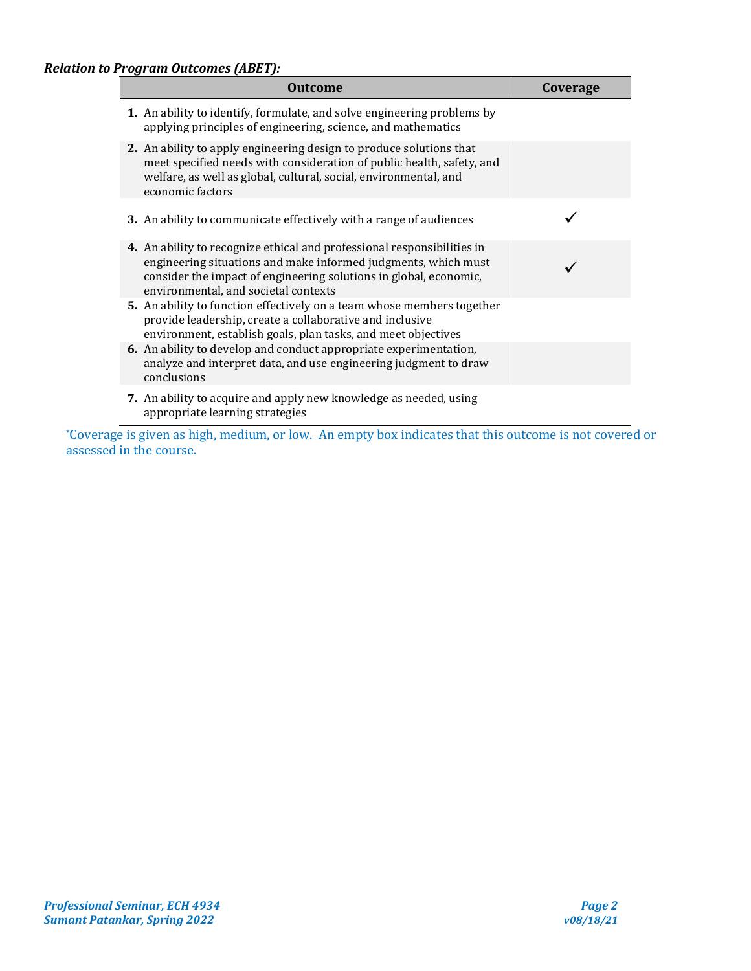| <b>Outcome</b>                                                                                                                                                                                                                                         | Coverage |
|--------------------------------------------------------------------------------------------------------------------------------------------------------------------------------------------------------------------------------------------------------|----------|
| 1. An ability to identify, formulate, and solve engineering problems by<br>applying principles of engineering, science, and mathematics                                                                                                                |          |
| 2. An ability to apply engineering design to produce solutions that<br>meet specified needs with consideration of public health, safety, and<br>welfare, as well as global, cultural, social, environmental, and<br>economic factors                   |          |
| <b>3.</b> An ability to communicate effectively with a range of audiences                                                                                                                                                                              |          |
| 4. An ability to recognize ethical and professional responsibilities in<br>engineering situations and make informed judgments, which must<br>consider the impact of engineering solutions in global, economic,<br>environmental, and societal contexts |          |
| 5. An ability to function effectively on a team whose members together<br>provide leadership, create a collaborative and inclusive<br>environment, establish goals, plan tasks, and meet objectives                                                    |          |
| 6. An ability to develop and conduct appropriate experimentation,<br>analyze and interpret data, and use engineering judgment to draw<br>conclusions                                                                                                   |          |
| 7. An ability to acquire and apply new knowledge as needed, using<br>appropriate learning strategies                                                                                                                                                   |          |

\*Coverage is given as high, medium, or low. An empty box indicates that this outcome is not covered or assessed in the course.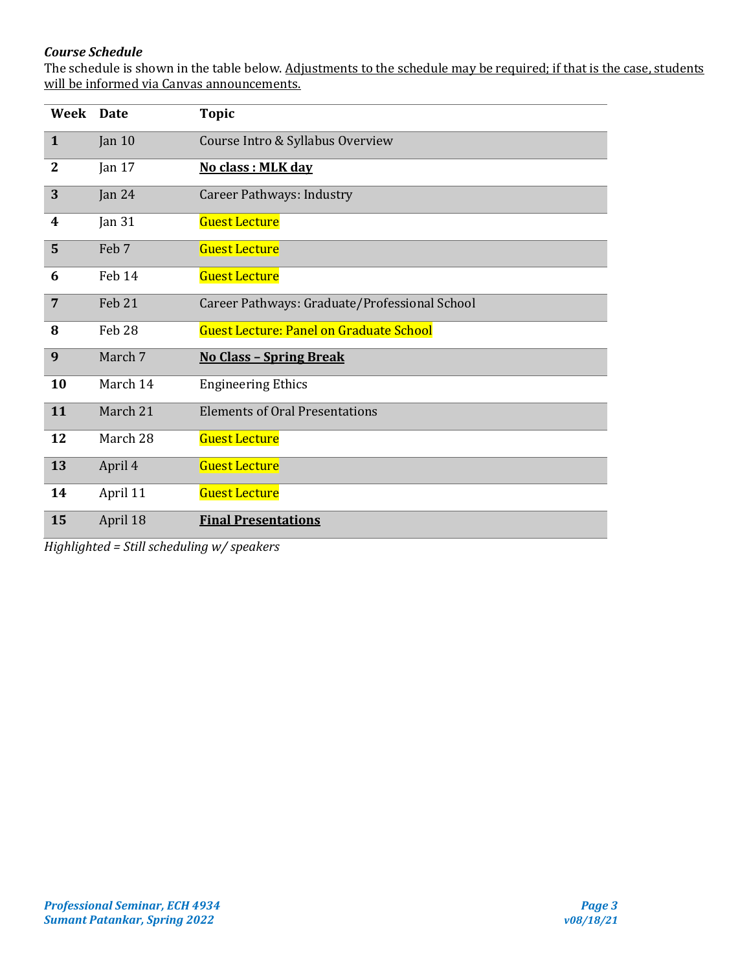# *Course Schedule*

The schedule is shown in the table below. Adjustments to the schedule may be required; if that is the case, students will be informed via Canvas announcements.

| <b>Week</b>    | <b>Date</b>       | <b>Topic</b>                                   |
|----------------|-------------------|------------------------------------------------|
| $\mathbf{1}$   | Jan $10$          | Course Intro & Syllabus Overview               |
| $\overline{2}$ | Jan $17$          | No class : MLK day                             |
| 3              | Jan $24$          | <b>Career Pathways: Industry</b>               |
| 4              | Jan $31$          | <b>Guest Lecture</b>                           |
| 5              | Feb 7             | <b>Guest Lecture</b>                           |
| 6              | Feb 14            | <b>Guest Lecture</b>                           |
| $\overline{7}$ | Feb 21            | Career Pathways: Graduate/Professional School  |
| 8              | Feb <sub>28</sub> | <b>Guest Lecture: Panel on Graduate School</b> |
| 9              | March 7           | <b>No Class - Spring Break</b>                 |
| 10             | March 14          | <b>Engineering Ethics</b>                      |
| 11             | March 21          | <b>Elements of Oral Presentations</b>          |
| 12             | March 28          | <b>Guest Lecture</b>                           |
| 13             | April 4           | <b>Guest Lecture</b>                           |
| 14             | April 11          | <b>Guest Lecture</b>                           |
| 15             | April 18          | <b>Final Presentations</b>                     |

*Highlighted = Still scheduling w/ speakers*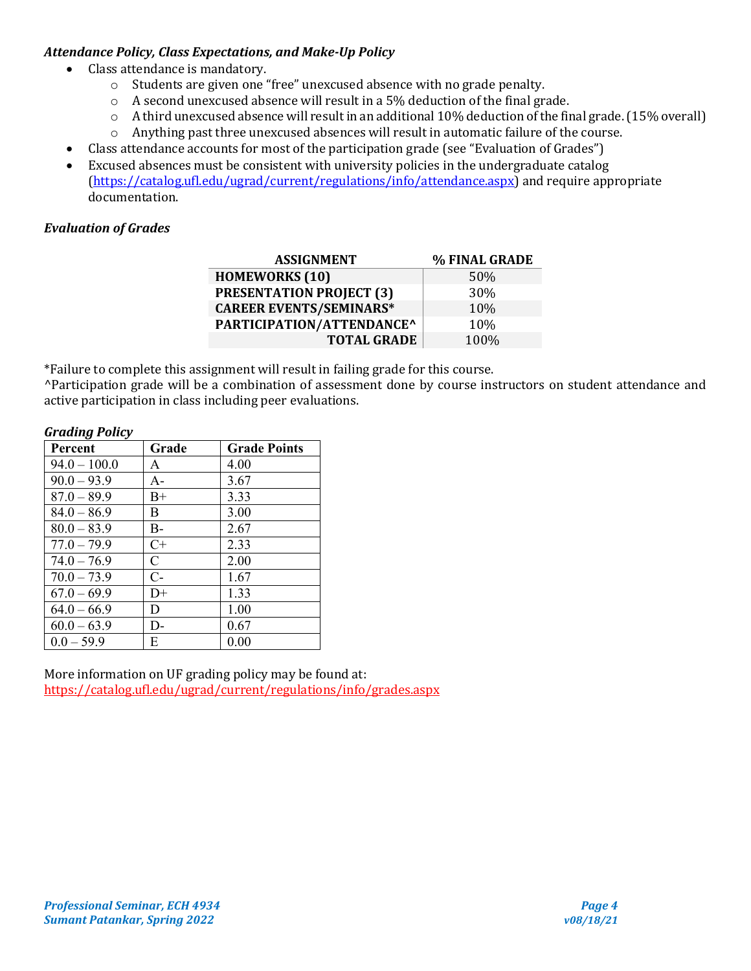## *Attendance Policy, Class Expectations, and Make-Up Policy*

- Class attendance is mandatory.
	- o Students are given one "free" unexcused absence with no grade penalty.
	- o A second unexcused absence will result in a 5% deduction of the final grade.
	- o A third unexcused absence will result in an additional 10% deduction of the final grade. (15% overall)
	- o Anything past three unexcused absences will result in automatic failure of the course.
	- Class attendance accounts for most of the participation grade (see "Evaluation of Grades")
- Excused absences must be consistent with university policies in the undergraduate catalog [\(https://catalog.ufl.edu/ugrad/current/regulations/info/attendance.aspx\)](https://catalog.ufl.edu/ugrad/current/regulations/info/attendance.aspx) and require appropriate documentation.

# *Evaluation of Grades*

| <b>ASSIGNMENT</b>               | % FINAL GRADE |
|---------------------------------|---------------|
| <b>HOMEWORKS</b> (10)           | 50%           |
| <b>PRESENTATION PROJECT (3)</b> | 30%           |
| <b>CAREER EVENTS/SEMINARS*</b>  | 10%           |
| PARTICIPATION/ATTENDANCE^       | 10%           |
| <b>TOTAL GRADE</b>              | 100%          |

\*Failure to complete this assignment will result in failing grade for this course.

^Participation grade will be a combination of assessment done by course instructors on student attendance and active participation in class including peer evaluations.

#### *Grading Policy*

| <b>Percent</b> | Grade        | <b>Grade Points</b> |
|----------------|--------------|---------------------|
| $94.0 - 100.0$ | A            | 4.00                |
| $90.0 - 93.9$  | $A -$        | 3.67                |
| $87.0 - 89.9$  | $B+$         | 3.33                |
| $84.0 - 86.9$  | B            | 3.00                |
| $80.0 - 83.9$  | $B-$         | 2.67                |
| $77.0 - 79.9$  | $C+$         | 2.33                |
| $74.0 - 76.9$  | $\mathsf{C}$ | 2.00                |
| $70.0 - 73.9$  | $C-$         | 1.67                |
| $67.0 - 69.9$  | $D+$         | 1.33                |
| $64.0 - 66.9$  | D            | 1.00                |
| $60.0 - 63.9$  | D-           | 0.67                |
| $0.0 - 59.9$   | E            | 0.00                |

More information on UF grading policy may be found at: <https://catalog.ufl.edu/ugrad/current/regulations/info/grades.aspx>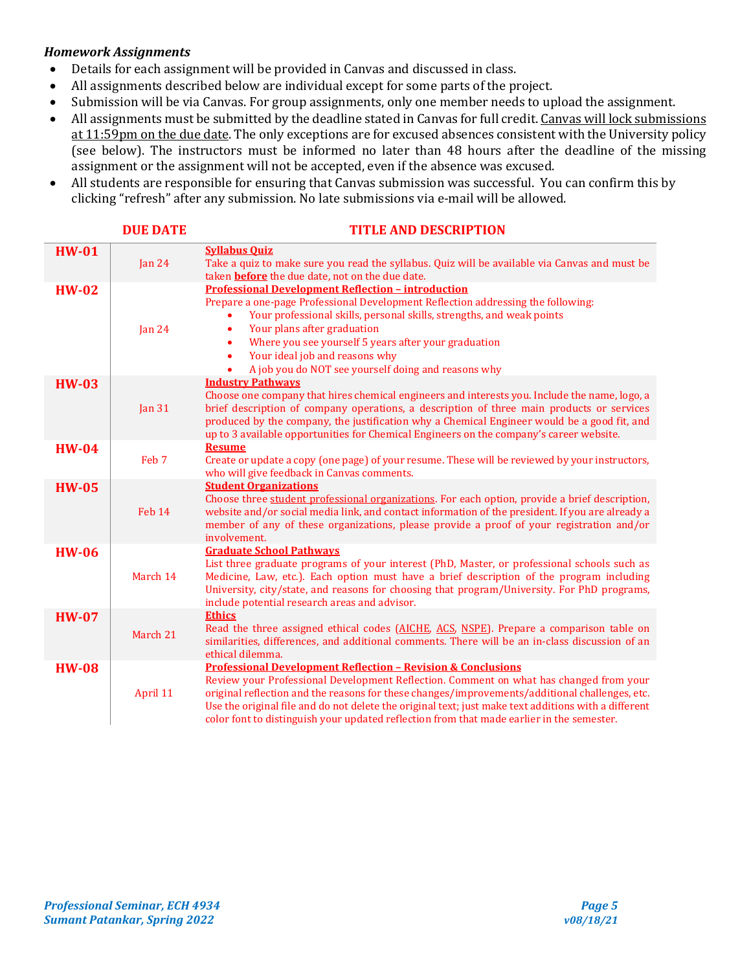#### *Homework Assignments*

- Details for each assignment will be provided in Canvas and discussed in class.<br>• All assignments described below are individual except for some parts of the pr
- All assignments described below are individual except for some parts of the project.<br>• Submission will be via Canvas. For group assignments, only one member needs to ur
- Submission will be via Canvas. For group assignments, only one member needs to upload the assignment.<br>• All assignments must be submitted by the deadline stated in Canvas for full credit. Canvas will lock submiss
- All assignments must be submitted by the deadline stated in Canvas for full credit. Canvas will lock submissions at 11:59pm on the due date. The only exceptions are for excused absences consistent with the University policy (see below). The instructors must be informed no later than 48 hours after the deadline of the missing assignment or the assignment will not be accepted, even if the absence was excused.
- All students are responsible for ensuring that Canvas submission was successful. You can confirm this by clicking "refresh" after any submission. No late submissions via e-mail will be allowed.

|              | <b>DUE DATE</b> | <b>TITLE AND DESCRIPTION</b>                                                                                                                                                                                                                                                                                                                                                                                                                                             |
|--------------|-----------------|--------------------------------------------------------------------------------------------------------------------------------------------------------------------------------------------------------------------------------------------------------------------------------------------------------------------------------------------------------------------------------------------------------------------------------------------------------------------------|
| <b>HW-01</b> | Jan $24$        | <b>Syllabus Ouiz</b><br>Take a quiz to make sure you read the syllabus. Quiz will be available via Canvas and must be<br>taken <b>before</b> the due date, not on the due date.                                                                                                                                                                                                                                                                                          |
| $HW-02$      | Jan $24$        | <b>Professional Development Reflection - introduction</b><br>Prepare a one-page Professional Development Reflection addressing the following:<br>Your professional skills, personal skills, strengths, and weak points<br>Your plans after graduation<br>$\bullet$<br>Where you see yourself 5 years after your graduation<br>$\bullet$<br>Your ideal job and reasons why<br>$\bullet$<br>A job you do NOT see yourself doing and reasons why<br>$\bullet$               |
| <b>HW-03</b> | Jan $31$        | <b>Industry Pathways</b><br>Choose one company that hires chemical engineers and interests you. Include the name, logo, a<br>brief description of company operations, a description of three main products or services<br>produced by the company, the justification why a Chemical Engineer would be a good fit, and<br>up to 3 available opportunities for Chemical Engineers on the company's career website.                                                         |
| <b>HW-04</b> | Feb 7           | <b>Resume</b><br>Create or update a copy (one page) of your resume. These will be reviewed by your instructors,<br>who will give feedback in Canvas comments.                                                                                                                                                                                                                                                                                                            |
| <b>HW-05</b> | Feb 14          | <b>Student Organizations</b><br>Choose three student professional organizations. For each option, provide a brief description,<br>website and/or social media link, and contact information of the president. If you are already a<br>member of any of these organizations, please provide a proof of your registration and/or<br>involvement.                                                                                                                           |
| <b>HW-06</b> | March 14        | <b>Graduate School Pathways</b><br>List three graduate programs of your interest (PhD, Master, or professional schools such as<br>Medicine, Law, etc.). Each option must have a brief description of the program including<br>University, city/state, and reasons for choosing that program/University. For PhD programs,<br>include potential research areas and advisor.                                                                                               |
| <b>HW-07</b> | March 21        | <b>Ethics</b><br>Read the three assigned ethical codes (AICHE, ACS, NSPE). Prepare a comparison table on<br>similarities, differences, and additional comments. There will be an in-class discussion of an<br>ethical dilemma.                                                                                                                                                                                                                                           |
| <b>HW-08</b> | April 11        | <b>Professional Development Reflection - Revision &amp; Conclusions</b><br>Review your Professional Development Reflection. Comment on what has changed from your<br>original reflection and the reasons for these changes/improvements/additional challenges, etc.<br>Use the original file and do not delete the original text; just make text additions with a different<br>color font to distinguish your updated reflection from that made earlier in the semester. |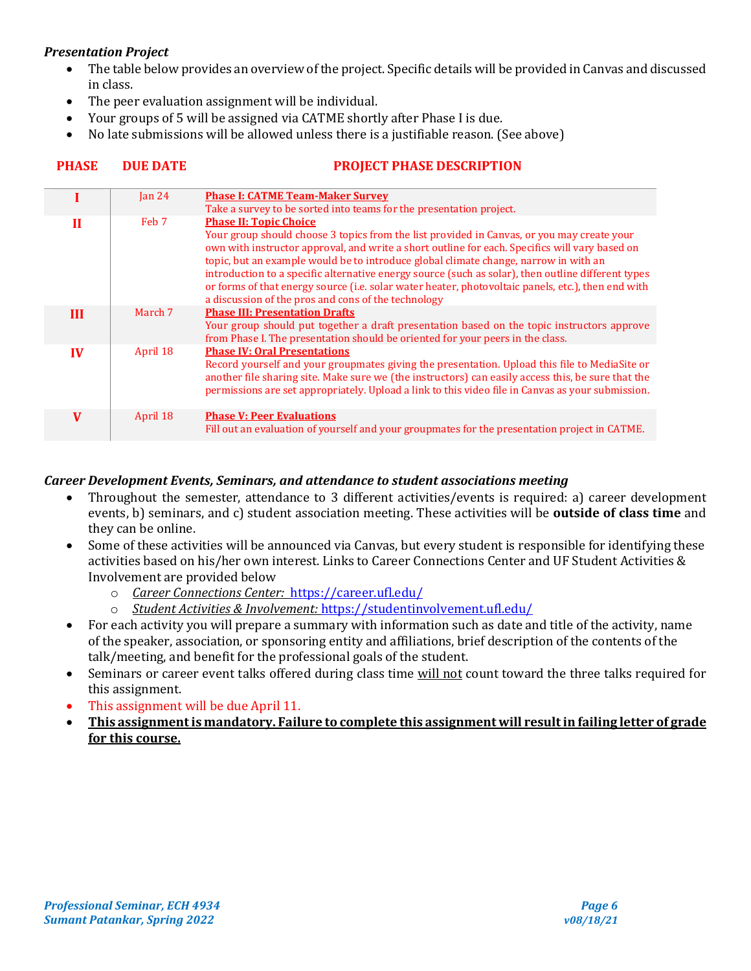## *Presentation Project*

- The table below provides an overview of the project. Specific details will be provided in Canvas and discussed in class.
- The peer evaluation assignment will be individual.
- Your groups of 5 will be assigned via CATME shortly after Phase I is due.
- No late submissions will be allowed unless there is a justifiable reason. (See above)

|           | $\tan 24$        | <b>Phase I: CATME Team-Maker Survey</b>                                                                                                                                                                                                                                                                                                                                                                                                                                                                                                                                                  |
|-----------|------------------|------------------------------------------------------------------------------------------------------------------------------------------------------------------------------------------------------------------------------------------------------------------------------------------------------------------------------------------------------------------------------------------------------------------------------------------------------------------------------------------------------------------------------------------------------------------------------------------|
|           |                  | Take a survey to be sorted into teams for the presentation project.                                                                                                                                                                                                                                                                                                                                                                                                                                                                                                                      |
| п         | Feb <sub>7</sub> | <b>Phase II: Topic Choice</b><br>Your group should choose 3 topics from the list provided in Canvas, or you may create your<br>own with instructor approval, and write a short outline for each. Specifics will vary based on<br>topic, but an example would be to introduce global climate change, narrow in with an<br>introduction to a specific alternative energy source (such as solar), then outline different types<br>or forms of that energy source (i.e. solar water heater, photovoltaic panels, etc.), then end with<br>a discussion of the pros and cons of the technology |
| Ш         | March 7          | <b>Phase III: Presentation Drafts</b><br>Your group should put together a draft presentation based on the topic instructors approve<br>from Phase I. The presentation should be oriented for your peers in the class.                                                                                                                                                                                                                                                                                                                                                                    |
| $\bf{IV}$ | April 18         | <b>Phase IV: Oral Presentations</b><br>Record yourself and your groupmates giving the presentation. Upload this file to MediaSite or<br>another file sharing site. Make sure we (the instructors) can easily access this, be sure that the<br>permissions are set appropriately. Upload a link to this video file in Canvas as your submission.                                                                                                                                                                                                                                          |
| V         | April 18         | <b>Phase V: Peer Evaluations</b><br>Fill out an evaluation of yourself and your groupmates for the presentation project in CATME.                                                                                                                                                                                                                                                                                                                                                                                                                                                        |

# **PHASE DUE DATE PROJECT PHASE DESCRIPTION**

#### *Career Development Events, Seminars, and attendance to student associations meeting*

- Throughout the semester, attendance to 3 different activities/events is required: a) career development events, b) seminars, and c) student association meeting. These activities will be **outside of class time** and they can be online.
- Some of these activities will be announced via Canvas, but every student is responsible for identifying these activities based on his/her own interest. Links to Career Connections Center and UF Student Activities & Involvement are provided below
	- o *Career Connections Center:* <https://career.ufl.edu/>
	- o *Student Activities & Involvement:* <https://studentinvolvement.ufl.edu/>
- For each activity you will prepare a summary with information such as date and title of the activity, name of the speaker, association, or sponsoring entity and affiliations, brief description of the contents of the talk/meeting, and benefit for the professional goals of the student.
- Seminars or career event talks offered during class time will not count toward the three talks required for this assignment.
- This assignment will be due April 11.
- **This assignment is mandatory. Failure to complete this assignment will result in failing letter of grade for this course.**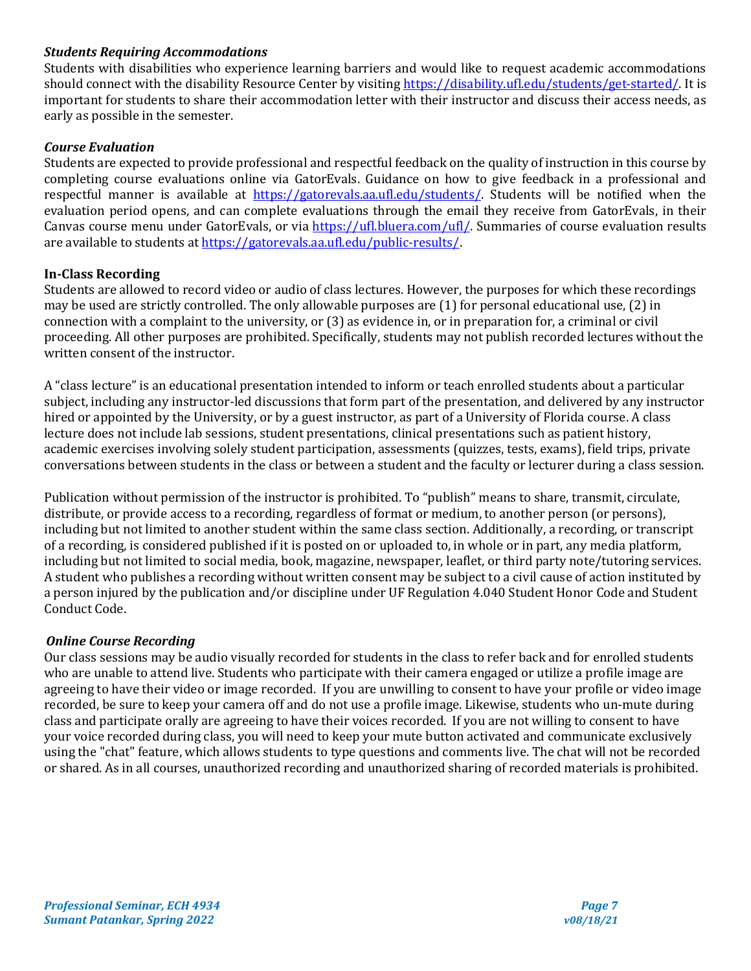## *Students Requiring Accommodations*

Students with disabilities who experience learning barriers and would like to request academic accommodations should connect with the disability Resource Center by visiting [https://disability.ufl.edu/students/get-started/.](https://disability.ufl.edu/students/get-started/) It is important for students to share their accommodation letter with their instructor and discuss their access needs, as early as possible in the semester.

#### *Course Evaluation*

Students are expected to provide professional and respectful feedback on the quality of instruction in this course by completing course evaluations online via GatorEvals. Guidance on how to give feedback in a professional and respectful manner is available at [https://gatorevals.aa.ufl.edu/students/.](https://gatorevals.aa.ufl.edu/students/) Students will be notified when the evaluation period opens, and can complete evaluations through the email they receive from GatorEvals, in their Canvas course menu under GatorEvals, or via [https://ufl.bluera.com/ufl/.](https://ufl.bluera.com/ufl/) Summaries of course evaluation results are available to students a[t https://gatorevals.aa.ufl.edu/public-results/.](https://gatorevals.aa.ufl.edu/public-results/)

#### **In-Class Recording**

Students are allowed to record video or audio of class lectures. However, the purposes for which these recordings may be used are strictly controlled. The only allowable purposes are (1) for personal educational use, (2) in connection with a complaint to the university, or (3) as evidence in, or in preparation for, a criminal or civil proceeding. All other purposes are prohibited. Specifically, students may not publish recorded lectures without the written consent of the instructor.

A "class lecture" is an educational presentation intended to inform or teach enrolled students about a particular subject, including any instructor-led discussions that form part of the presentation, and delivered by any instructor hired or appointed by the University, or by a guest instructor, as part of a University of Florida course. A class lecture does not include lab sessions, student presentations, clinical presentations such as patient history, academic exercises involving solely student participation, assessments (quizzes, tests, exams), field trips, private conversations between students in the class or between a student and the faculty or lecturer during a class session.

Publication without permission of the instructor is prohibited. To "publish" means to share, transmit, circulate, distribute, or provide access to a recording, regardless of format or medium, to another person (or persons), including but not limited to another student within the same class section. Additionally, a recording, or transcript of a recording, is considered published if it is posted on or uploaded to, in whole or in part, any media platform, including but not limited to social media, book, magazine, newspaper, leaflet, or third party note/tutoring services. A student who publishes a recording without written consent may be subject to a civil cause of action instituted by a person injured by the publication and/or discipline under UF Regulation 4.040 Student Honor Code and Student Conduct Code.

#### *Online Course Recording*

Our class sessions may be audio visually recorded for students in the class to refer back and for enrolled students who are unable to attend live. Students who participate with their camera engaged or utilize a profile image are agreeing to have their video or image recorded. If you are unwilling to consent to have your profile or video image recorded, be sure to keep your camera off and do not use a profile image. Likewise, students who un-mute during class and participate orally are agreeing to have their voices recorded. If you are not willing to consent to have your voice recorded during class, you will need to keep your mute button activated and communicate exclusively using the "chat" feature, which allows students to type questions and comments live. The chat will not be recorded or shared. As in all courses, unauthorized recording and unauthorized sharing of recorded materials is prohibited.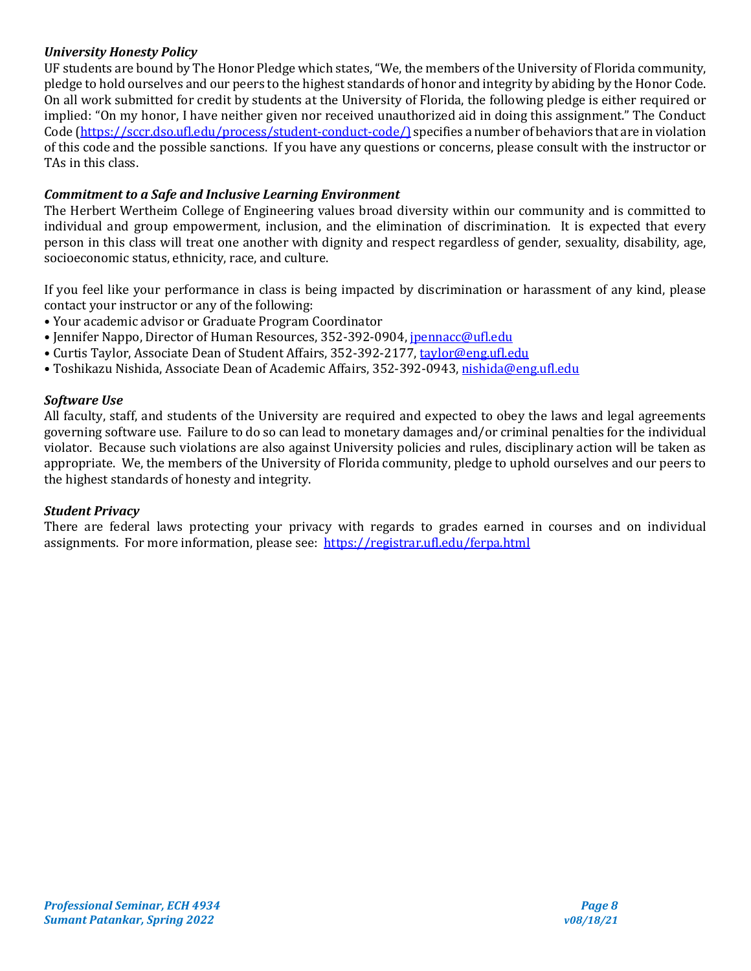# *University Honesty Policy*

UF students are bound by The Honor Pledge which states, "We, the members of the University of Florida community, pledge to hold ourselves and our peers to the highest standards of honor and integrity by abiding by the Honor Code. On all work submitted for credit by students at the University of Florida, the following pledge is either required or implied: "On my honor, I have neither given nor received unauthorized aid in doing this assignment." The Conduct Code [\(https://sccr.dso.ufl.edu/process/student-conduct-code/\)](https://sccr.dso.ufl.edu/process/student-conduct-code/) specifies a number of behaviors that are in violation of this code and the possible sanctions. If you have any questions or concerns, please consult with the instructor or TAs in this class.

## *Commitment to a Safe and Inclusive Learning Environment*

The Herbert Wertheim College of Engineering values broad diversity within our community and is committed to individual and group empowerment, inclusion, and the elimination of discrimination. It is expected that every person in this class will treat one another with dignity and respect regardless of gender, sexuality, disability, age, socioeconomic status, ethnicity, race, and culture.

If you feel like your performance in class is being impacted by discrimination or harassment of any kind, please contact your instructor or any of the following:

- Your academic advisor or Graduate Program Coordinator
- Jennifer Nappo, Director of Human Resources, 352-392-0904, *[jpennacc@ufl.edu](mailto:jpennacc@ufl.edu)*
- Curtis Taylor, Associate Dean of Student Affairs, 352-392-2177[, taylor@eng.ufl.edu](mailto:taylor@eng.ufl.edu)
- Toshikazu Nishida, Associate Dean of Academic Affairs, 352-392-0943[, nishida@eng.ufl.edu](mailto:nishida@eng.ufl.edu)

## *Software Use*

All faculty, staff, and students of the University are required and expected to obey the laws and legal agreements governing software use. Failure to do so can lead to monetary damages and/or criminal penalties for the individual violator. Because such violations are also against University policies and rules, disciplinary action will be taken as appropriate. We, the members of the University of Florida community, pledge to uphold ourselves and our peers to the highest standards of honesty and integrity.

## *Student Privacy*

There are federal laws protecting your privacy with regards to grades earned in courses and on individual assignments. For more information, please see: <https://registrar.ufl.edu/ferpa.html>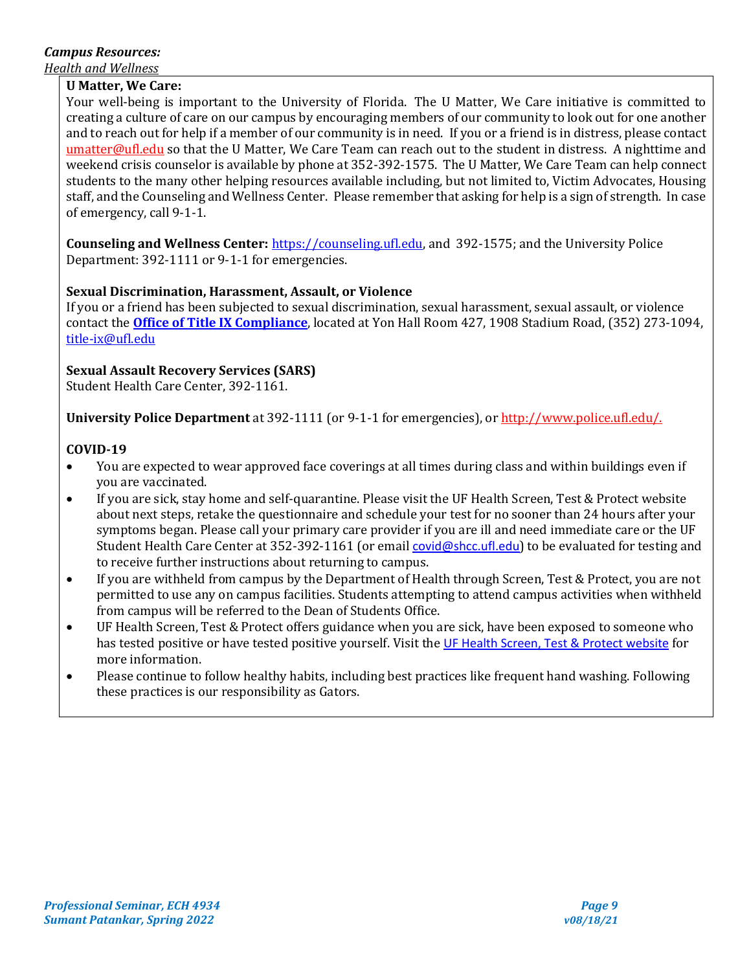# *Campus Resources:*

*Health and Wellness* 

## **U Matter, We Care:**

Your well-being is important to the University of Florida. The U Matter, We Care initiative is committed to creating a culture of care on our campus by encouraging members of our community to look out for one another and to reach out for help if a member of our community is in need. If you or a friend is in distress, please contact [umatter@ufl.edu](mailto:umatter@ufl.edu) so that the U Matter, We Care Team can reach out to the student in distress. A nighttime and weekend crisis counselor is available by phone at 352-392-1575. The U Matter, We Care Team can help connect students to the many other helping resources available including, but not limited to, Victim Advocates, Housing staff, and the Counseling and Wellness Center. Please remember that asking for help is a sign of strength. In case of emergency, call 9-1-1.

**Counseling and Wellness Center:** [https://counseling.ufl.edu,](https://counseling.ufl.edu/) and 392-1575; and the University Police Department: 392-1111 or 9-1-1 for emergencies.

# **Sexual Discrimination, Harassment, Assault, or Violence**

If you or a friend has been subjected to sexual discrimination, sexual harassment, sexual assault, or violence contact the **[Office of Title IX Compliance](https://titleix.ufl.edu/)**, located at Yon Hall Room 427, 1908 Stadium Road, (352) 273-1094, [title-ix@ufl.edu](mailto:title-ix@ufl.edu)

# **Sexual Assault Recovery Services (SARS)**

Student Health Care Center, 392-1161.

**University Police Department** at 392-1111 (or 9-1-1 for emergencies), o[r http://www.police.ufl.edu/.](http://www.police.ufl.edu/)

# **COVID-19**

- You are expected to wear approved face coverings at all times during class and within buildings even if you are vaccinated.
- If you are sick, stay home and self-quarantine. Please visit the UF Health Screen, Test & Protect website about next steps, retake the questionnaire and schedule your test for no sooner than 24 hours after your symptoms began. Please call your primary care provider if you are ill and need immediate care or the UF Student Health Care Center at 352-392-1161 (or email [covid@shcc.ufl.edu](mailto:covid@shcc.ufl.edu)) to be evaluated for testing and to receive further instructions about returning to campus.
- If you are withheld from campus by the Department of Health through Screen, Test & Protect, you are not permitted to use any on campus facilities. Students attempting to attend campus activities when withheld from campus will be referred to the Dean of Students Office.
- UF Health Screen, Test & Protect offers guidance when you are sick, have been exposed to someone who has tested positive or have tested positive yourself. Visit the [UF Health Screen, Test & Protect website](https://click.info.gator360.ufl.edu/?qs=8f0d5e01a3f7385148f144e2089093522a358a8d85cb9db73c31675d3c5e5c0d27748d40c212f544822551342f1912ea5b4f2b890d5952e8) for more information.
- Please continue to follow healthy habits, including best practices like frequent hand washing. Following these practices is our responsibility as Gators.